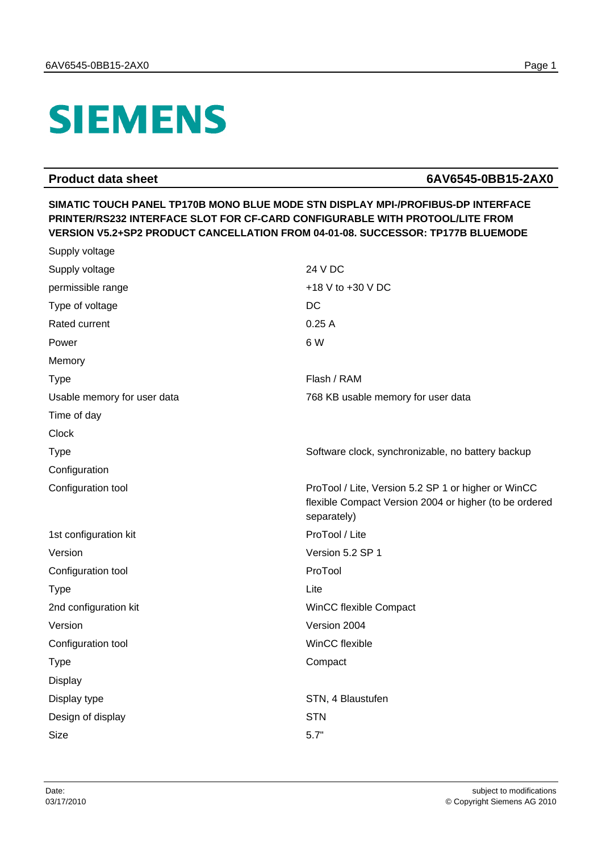## **SIEMENS**

Supply voltage

## **Product data sheet 6AV6545-0BB15-2AX0**

## **SIMATIC TOUCH PANEL TP170B MONO BLUE MODE STN DISPLAY MPI-/PROFIBUS-DP INTERFACE PRINTER/RS232 INTERFACE SLOT FOR CF-CARD CONFIGURABLE WITH PROTOOL/LITE FROM VERSION V5.2+SP2 PRODUCT CANCELLATION FROM 04-01-08. SUCCESSOR: TP177B BLUEMODE**

| Supply voltage              | 24 V DC                                                                                                                      |
|-----------------------------|------------------------------------------------------------------------------------------------------------------------------|
| permissible range           | +18 V to +30 V DC                                                                                                            |
| Type of voltage             | <b>DC</b>                                                                                                                    |
| Rated current               | 0.25A                                                                                                                        |
| Power                       | 6 W                                                                                                                          |
| Memory                      |                                                                                                                              |
| <b>Type</b>                 | Flash / RAM                                                                                                                  |
| Usable memory for user data | 768 KB usable memory for user data                                                                                           |
| Time of day                 |                                                                                                                              |
| Clock                       |                                                                                                                              |
| <b>Type</b>                 | Software clock, synchronizable, no battery backup                                                                            |
| Configuration               |                                                                                                                              |
| Configuration tool          | ProTool / Lite, Version 5.2 SP 1 or higher or WinCC<br>flexible Compact Version 2004 or higher (to be ordered<br>separately) |
| 1st configuration kit       | ProTool / Lite                                                                                                               |
| Version                     | Version 5.2 SP 1                                                                                                             |
| Configuration tool          | ProTool                                                                                                                      |
| <b>Type</b>                 | Lite                                                                                                                         |
| 2nd configuration kit       | WinCC flexible Compact                                                                                                       |
| Version                     | Version 2004                                                                                                                 |
| Configuration tool          | WinCC flexible                                                                                                               |
| <b>Type</b>                 | Compact                                                                                                                      |
| Display                     |                                                                                                                              |
| Display type                | STN, 4 Blaustufen                                                                                                            |
| Design of display           | <b>STN</b>                                                                                                                   |
| <b>Size</b>                 | 5.7"                                                                                                                         |
|                             |                                                                                                                              |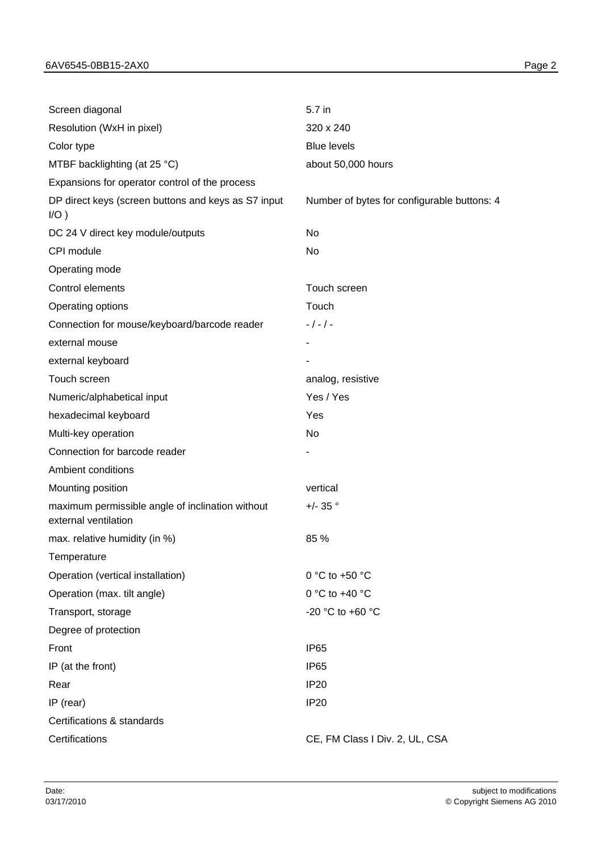| Screen diagonal                                                          | 5.7 in                                      |
|--------------------------------------------------------------------------|---------------------------------------------|
| Resolution (WxH in pixel)                                                | 320 x 240                                   |
| Color type                                                               | <b>Blue levels</b>                          |
| MTBF backlighting (at 25 °C)                                             | about 50,000 hours                          |
| Expansions for operator control of the process                           |                                             |
| DP direct keys (screen buttons and keys as S7 input<br>$I/O$ )           | Number of bytes for configurable buttons: 4 |
| DC 24 V direct key module/outputs                                        | No                                          |
| CPI module                                                               | No                                          |
| Operating mode                                                           |                                             |
| Control elements                                                         | Touch screen                                |
| Operating options                                                        | Touch                                       |
| Connection for mouse/keyboard/barcode reader                             | $-/-/-$                                     |
| external mouse                                                           |                                             |
| external keyboard                                                        |                                             |
| Touch screen                                                             | analog, resistive                           |
| Numeric/alphabetical input                                               | Yes / Yes                                   |
| hexadecimal keyboard                                                     | Yes                                         |
| Multi-key operation                                                      | No                                          |
| Connection for barcode reader                                            |                                             |
| Ambient conditions                                                       |                                             |
| Mounting position                                                        | vertical                                    |
| maximum permissible angle of inclination without<br>external ventilation | $+/- 35°$                                   |
| max. relative humidity (in %)                                            | 85 %                                        |
| Temperature                                                              |                                             |
| Operation (vertical installation)                                        | 0 °C to +50 °C                              |
| Operation (max. tilt angle)                                              | 0 °C to +40 °C                              |
| Transport, storage                                                       | -20 °C to +60 °C                            |
| Degree of protection                                                     |                                             |
| Front                                                                    | <b>IP65</b>                                 |
| IP (at the front)                                                        | <b>IP65</b>                                 |
| Rear                                                                     | <b>IP20</b>                                 |
| IP (rear)                                                                | <b>IP20</b>                                 |
| Certifications & standards                                               |                                             |
| Certifications                                                           | CE, FM Class I Div. 2, UL, CSA              |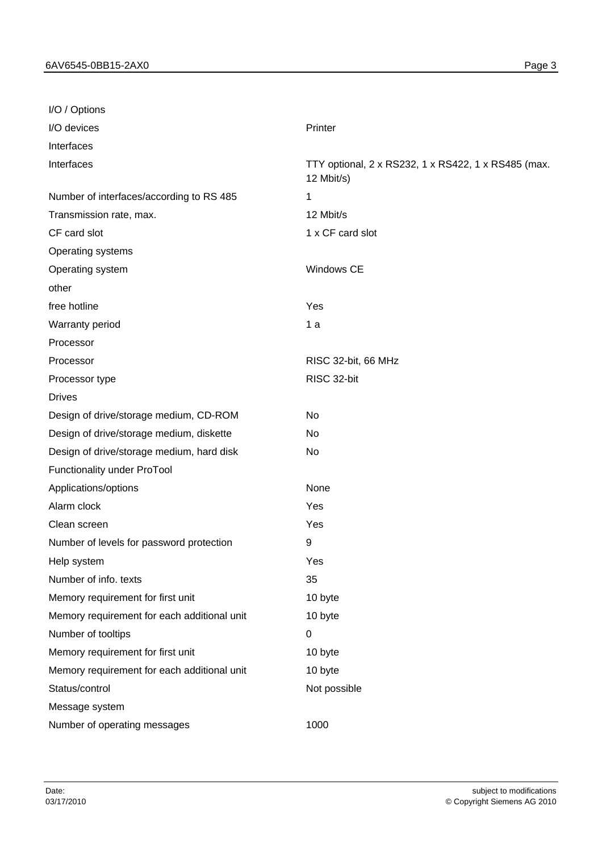| I/O / Options                               |                                                                   |
|---------------------------------------------|-------------------------------------------------------------------|
| I/O devices                                 | Printer                                                           |
| Interfaces                                  |                                                                   |
| Interfaces                                  | TTY optional, 2 x RS232, 1 x RS422, 1 x RS485 (max.<br>12 Mbit/s) |
| Number of interfaces/according to RS 485    | 1                                                                 |
| Transmission rate, max.                     | 12 Mbit/s                                                         |
| CF card slot                                | 1 x CF card slot                                                  |
| Operating systems                           |                                                                   |
| Operating system                            | Windows CE                                                        |
| other                                       |                                                                   |
| free hotline                                | Yes                                                               |
| Warranty period                             | 1a                                                                |
| Processor                                   |                                                                   |
| Processor                                   | RISC 32-bit, 66 MHz                                               |
| Processor type                              | RISC 32-bit                                                       |
| <b>Drives</b>                               |                                                                   |
| Design of drive/storage medium, CD-ROM      | <b>No</b>                                                         |
| Design of drive/storage medium, diskette    | No                                                                |
| Design of drive/storage medium, hard disk   | No                                                                |
| Functionality under ProTool                 |                                                                   |
| Applications/options                        | None                                                              |
| Alarm clock                                 | Yes                                                               |
| Clean screen                                | Yes                                                               |
| Number of levels for password protection    | 9                                                                 |
| Help system                                 | Yes                                                               |
| Number of info. texts                       | 35                                                                |
| Memory requirement for first unit           | 10 byte                                                           |
| Memory requirement for each additional unit | 10 byte                                                           |
| Number of tooltips                          | $\pmb{0}$                                                         |
| Memory requirement for first unit           | 10 byte                                                           |
| Memory requirement for each additional unit | 10 byte                                                           |
| Status/control                              | Not possible                                                      |
| Message system                              |                                                                   |
| Number of operating messages                | 1000                                                              |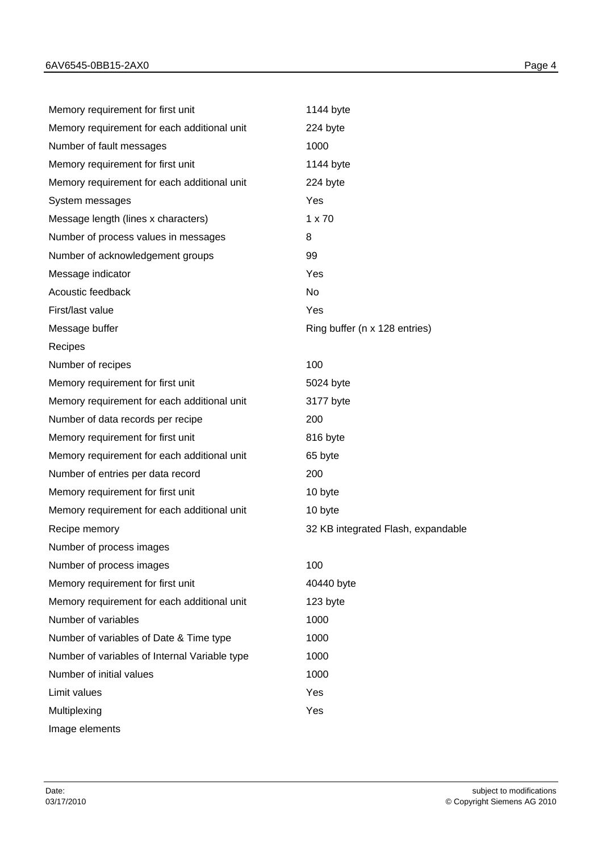| Memory requirement for first unit             | 1144 byte                          |
|-----------------------------------------------|------------------------------------|
| Memory requirement for each additional unit   | 224 byte                           |
| Number of fault messages                      | 1000                               |
| Memory requirement for first unit             | 1144 byte                          |
| Memory requirement for each additional unit   | 224 byte                           |
| System messages                               | Yes                                |
| Message length (lines x characters)           | $1 \times 70$                      |
| Number of process values in messages          | 8                                  |
| Number of acknowledgement groups              | 99                                 |
| Message indicator                             | Yes                                |
| Acoustic feedback                             | No                                 |
| First/last value                              | Yes                                |
| Message buffer                                | Ring buffer (n x 128 entries)      |
| Recipes                                       |                                    |
| Number of recipes                             | 100                                |
| Memory requirement for first unit             | 5024 byte                          |
| Memory requirement for each additional unit   | 3177 byte                          |
| Number of data records per recipe             | 200                                |
| Memory requirement for first unit             | 816 byte                           |
| Memory requirement for each additional unit   | 65 byte                            |
| Number of entries per data record             | 200                                |
| Memory requirement for first unit             | 10 byte                            |
| Memory requirement for each additional unit   | 10 byte                            |
| Recipe memory                                 | 32 KB integrated Flash, expandable |
| Number of process images                      |                                    |
| Number of process images                      | 100                                |
| Memory requirement for first unit             | 40440 byte                         |
| Memory requirement for each additional unit   | 123 byte                           |
| Number of variables                           | 1000                               |
| Number of variables of Date & Time type       | 1000                               |
| Number of variables of Internal Variable type | 1000                               |
| Number of initial values                      | 1000                               |
| Limit values                                  | Yes                                |
| Multiplexing                                  | Yes                                |
| Image elements                                |                                    |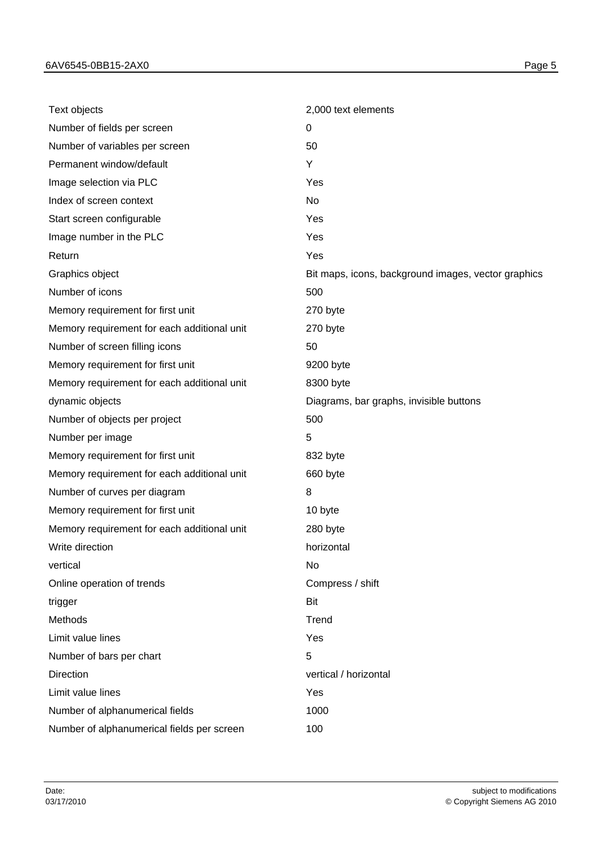| Text objects                                | 2,000 text elements                                 |
|---------------------------------------------|-----------------------------------------------------|
| Number of fields per screen                 | 0                                                   |
| Number of variables per screen              | 50                                                  |
| Permanent window/default                    | Y                                                   |
| Image selection via PLC                     | Yes                                                 |
| Index of screen context                     | No                                                  |
| Start screen configurable                   | Yes                                                 |
| Image number in the PLC                     | Yes                                                 |
| Return                                      | Yes                                                 |
| Graphics object                             | Bit maps, icons, background images, vector graphics |
| Number of icons                             | 500                                                 |
| Memory requirement for first unit           | 270 byte                                            |
| Memory requirement for each additional unit | 270 byte                                            |
| Number of screen filling icons              | 50                                                  |
| Memory requirement for first unit           | 9200 byte                                           |
| Memory requirement for each additional unit | 8300 byte                                           |
| dynamic objects                             | Diagrams, bar graphs, invisible buttons             |
| Number of objects per project               | 500                                                 |
| Number per image                            | 5                                                   |
| Memory requirement for first unit           | 832 byte                                            |
| Memory requirement for each additional unit | 660 byte                                            |
| Number of curves per diagram                | 8                                                   |
| Memory requirement for first unit           | 10 byte                                             |
| Memory requirement for each additional unit | 280 byte                                            |
| Write direction                             | horizontal                                          |
| vertical                                    | No                                                  |
| Online operation of trends                  | Compress / shift                                    |
| trigger                                     | Bit                                                 |
| Methods                                     | Trend                                               |
| Limit value lines                           | Yes                                                 |
| Number of bars per chart                    | 5                                                   |
| <b>Direction</b>                            | vertical / horizontal                               |
| Limit value lines                           | Yes                                                 |
| Number of alphanumerical fields             | 1000                                                |
| Number of alphanumerical fields per screen  | 100                                                 |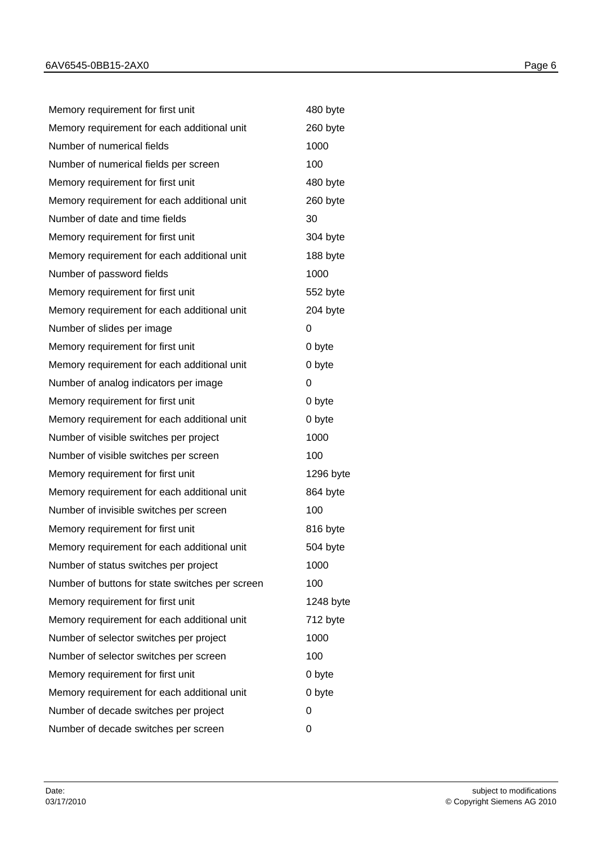| Memory requirement for first unit               | 480 byte  |
|-------------------------------------------------|-----------|
| Memory requirement for each additional unit     | 260 byte  |
| Number of numerical fields                      | 1000      |
| Number of numerical fields per screen           | 100       |
| Memory requirement for first unit               | 480 byte  |
| Memory requirement for each additional unit     | 260 byte  |
| Number of date and time fields                  | 30        |
| Memory requirement for first unit               | 304 byte  |
| Memory requirement for each additional unit     | 188 byte  |
| Number of password fields                       | 1000      |
| Memory requirement for first unit               | 552 byte  |
| Memory requirement for each additional unit     | 204 byte  |
| Number of slides per image                      | 0         |
| Memory requirement for first unit               | 0 byte    |
| Memory requirement for each additional unit     | 0 byte    |
| Number of analog indicators per image           | 0         |
| Memory requirement for first unit               | 0 byte    |
| Memory requirement for each additional unit     | 0 byte    |
| Number of visible switches per project          | 1000      |
| Number of visible switches per screen           | 100       |
| Memory requirement for first unit               | 1296 byte |
| Memory requirement for each additional unit     | 864 byte  |
| Number of invisible switches per screen         | 100       |
| Memory requirement for first unit               | 816 byte  |
| Memory requirement for each additional unit     | 504 byte  |
| Number of status switches per project           | 1000      |
| Number of buttons for state switches per screen | 100       |
| Memory requirement for first unit               | 1248 byte |
| Memory requirement for each additional unit     | 712 byte  |
| Number of selector switches per project         | 1000      |
| Number of selector switches per screen          | 100       |
| Memory requirement for first unit               | 0 byte    |
| Memory requirement for each additional unit     | 0 byte    |
| Number of decade switches per project           | 0         |
| Number of decade switches per screen            | 0         |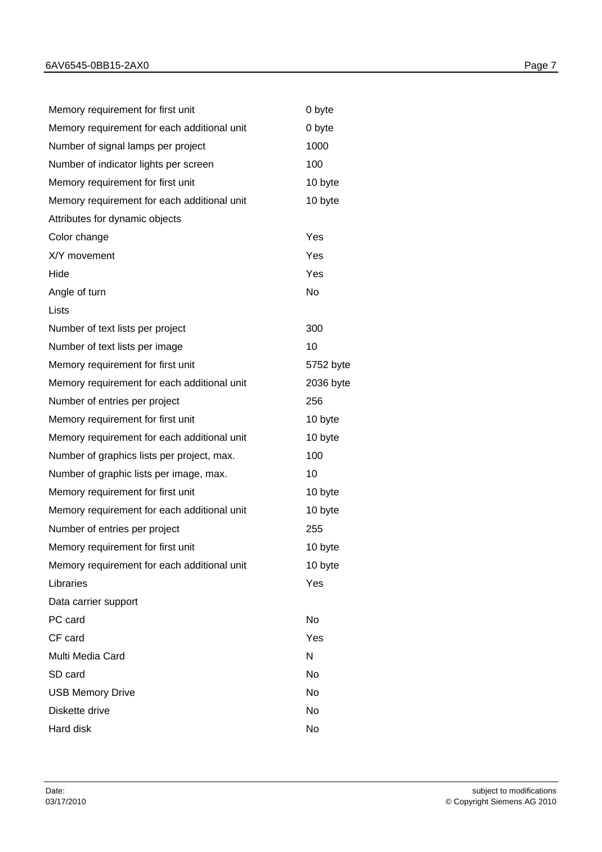| Memory requirement for first unit           | 0 byte    |
|---------------------------------------------|-----------|
| Memory requirement for each additional unit | 0 byte    |
| Number of signal lamps per project          | 1000      |
| Number of indicator lights per screen       | 100       |
| Memory requirement for first unit           | 10 byte   |
| Memory requirement for each additional unit | 10 byte   |
| Attributes for dynamic objects              |           |
| Color change                                | Yes       |
| X/Y movement                                | Yes       |
| Hide                                        | Yes       |
| Angle of turn                               | <b>No</b> |
| Lists                                       |           |
| Number of text lists per project            | 300       |
| Number of text lists per image              | 10        |
| Memory requirement for first unit           | 5752 byte |
| Memory requirement for each additional unit | 2036 byte |
| Number of entries per project               | 256       |
| Memory requirement for first unit           | 10 byte   |
| Memory requirement for each additional unit | 10 byte   |
| Number of graphics lists per project, max.  | 100       |
| Number of graphic lists per image, max.     | 10        |
| Memory requirement for first unit           | 10 byte   |
| Memory requirement for each additional unit | 10 byte   |
| Number of entries per project               | 255       |
| Memory requirement for first unit           | 10 byte   |
| Memory requirement for each additional unit | 10 byte   |
| Libraries                                   | Yes       |
| Data carrier support                        |           |
| PC card                                     | No        |
| CF card                                     | Yes       |
| Multi Media Card                            | N         |
| SD card                                     | No        |
| <b>USB Memory Drive</b>                     | No        |
| Diskette drive                              | No        |
| Hard disk                                   | No        |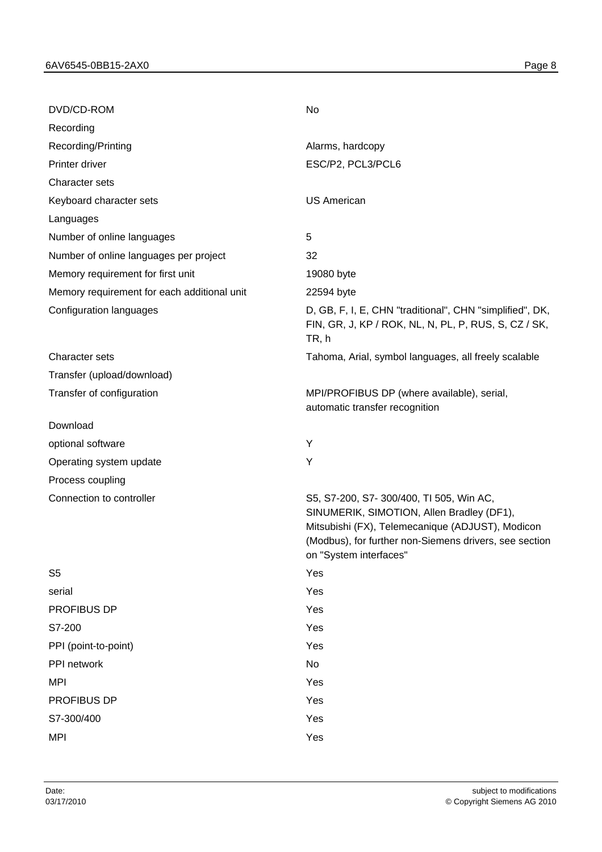| DVD/CD-ROM                                  | No                                                                                                                                                                                                                           |
|---------------------------------------------|------------------------------------------------------------------------------------------------------------------------------------------------------------------------------------------------------------------------------|
| Recording                                   |                                                                                                                                                                                                                              |
| Recording/Printing                          | Alarms, hardcopy                                                                                                                                                                                                             |
| Printer driver                              | ESC/P2, PCL3/PCL6                                                                                                                                                                                                            |
| Character sets                              |                                                                                                                                                                                                                              |
| Keyboard character sets                     | <b>US American</b>                                                                                                                                                                                                           |
| Languages                                   |                                                                                                                                                                                                                              |
| Number of online languages                  | 5                                                                                                                                                                                                                            |
| Number of online languages per project      | 32                                                                                                                                                                                                                           |
| Memory requirement for first unit           | 19080 byte                                                                                                                                                                                                                   |
| Memory requirement for each additional unit | 22594 byte                                                                                                                                                                                                                   |
| Configuration languages                     | D, GB, F, I, E, CHN "traditional", CHN "simplified", DK,<br>FIN, GR, J, KP / ROK, NL, N, PL, P, RUS, S, CZ / SK,<br>TR, h                                                                                                    |
| <b>Character sets</b>                       | Tahoma, Arial, symbol languages, all freely scalable                                                                                                                                                                         |
| Transfer (upload/download)                  |                                                                                                                                                                                                                              |
| Transfer of configuration                   | MPI/PROFIBUS DP (where available), serial,<br>automatic transfer recognition                                                                                                                                                 |
| Download                                    |                                                                                                                                                                                                                              |
| optional software                           | Υ                                                                                                                                                                                                                            |
| Operating system update                     | Υ                                                                                                                                                                                                                            |
| Process coupling                            |                                                                                                                                                                                                                              |
| Connection to controller                    | S5, S7-200, S7-300/400, TI 505, Win AC,<br>SINUMERIK, SIMOTION, Allen Bradley (DF1),<br>Mitsubishi (FX), Telemecanique (ADJUST), Modicon<br>(Modbus), for further non-Siemens drivers, see section<br>on "System interfaces" |
| S <sub>5</sub>                              | Yes                                                                                                                                                                                                                          |
| serial                                      | Yes                                                                                                                                                                                                                          |
| PROFIBUS DP                                 | Yes                                                                                                                                                                                                                          |
| S7-200                                      | Yes                                                                                                                                                                                                                          |
| PPI (point-to-point)                        | Yes                                                                                                                                                                                                                          |
| PPI network                                 | No                                                                                                                                                                                                                           |
| <b>MPI</b>                                  | Yes                                                                                                                                                                                                                          |
| PROFIBUS DP                                 | Yes                                                                                                                                                                                                                          |
| S7-300/400                                  | Yes                                                                                                                                                                                                                          |
| <b>MPI</b>                                  | Yes                                                                                                                                                                                                                          |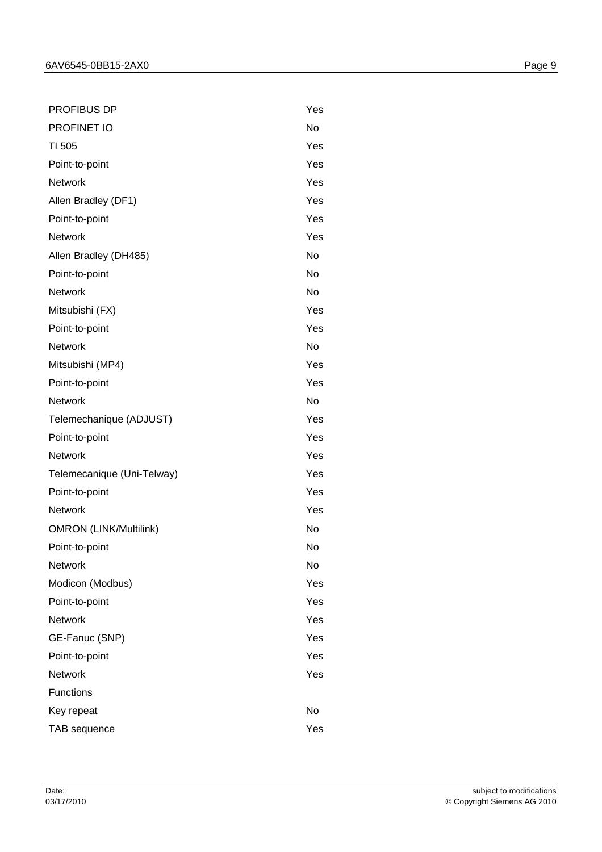| PROFIBUS DP                   | Yes       |
|-------------------------------|-----------|
| PROFINET IO                   | No        |
| TI 505                        | Yes       |
| Point-to-point                | Yes       |
| <b>Network</b>                | Yes       |
| Allen Bradley (DF1)           | Yes       |
| Point-to-point                | Yes       |
| <b>Network</b>                | Yes       |
| Allen Bradley (DH485)         | <b>No</b> |
| Point-to-point                | No        |
| <b>Network</b>                | <b>No</b> |
| Mitsubishi (FX)               | Yes       |
| Point-to-point                | Yes       |
| <b>Network</b>                | No        |
| Mitsubishi (MP4)              | Yes       |
| Point-to-point                | Yes       |
| <b>Network</b>                | <b>No</b> |
| Telemechanique (ADJUST)       | Yes       |
| Point-to-point                | Yes       |
| <b>Network</b>                | Yes       |
| Telemecanique (Uni-Telway)    | Yes       |
| Point-to-point                | Yes       |
| <b>Network</b>                | Yes       |
| <b>OMRON (LINK/Multilink)</b> | No        |
| Point-to-point                | No        |
| <b>Network</b>                | No        |
| Modicon (Modbus)              | Yes       |
| Point-to-point                | Yes       |
| <b>Network</b>                | Yes       |
| GE-Fanuc (SNP)                | Yes       |
| Point-to-point                | Yes       |
| <b>Network</b>                | Yes       |
| <b>Functions</b>              |           |
| Key repeat                    | No        |
| TAB sequence                  | Yes       |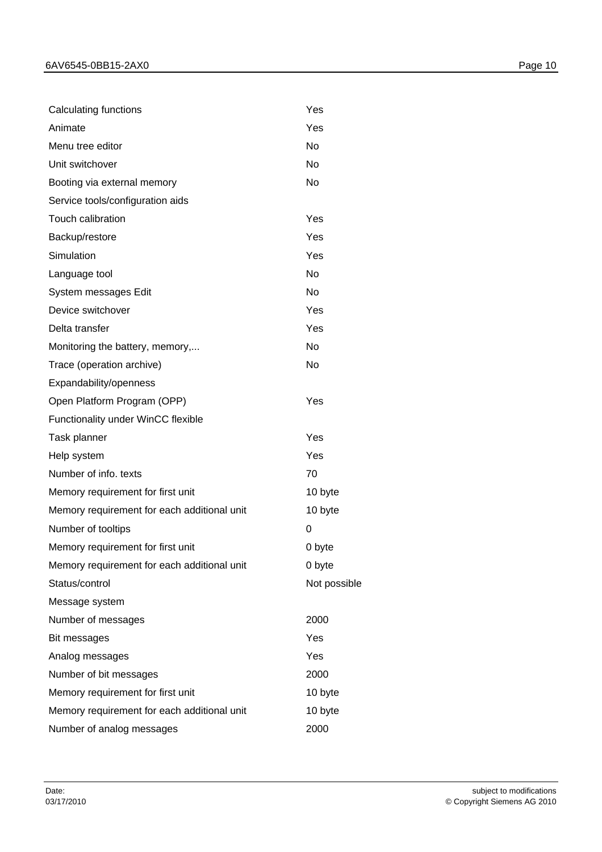| Calculating functions                       | Yes          |
|---------------------------------------------|--------------|
| Animate                                     | Yes          |
| Menu tree editor                            | <b>No</b>    |
| Unit switchover                             | No           |
| Booting via external memory                 | <b>No</b>    |
| Service tools/configuration aids            |              |
| Touch calibration                           | Yes          |
| Backup/restore                              | Yes          |
| Simulation                                  | Yes          |
| Language tool                               | No           |
| System messages Edit                        | <b>No</b>    |
| Device switchover                           | Yes          |
| Delta transfer                              | Yes          |
| Monitoring the battery, memory,             | No           |
| Trace (operation archive)                   | <b>No</b>    |
| Expandability/openness                      |              |
| Open Platform Program (OPP)                 | Yes          |
| Functionality under WinCC flexible          |              |
| Task planner                                | Yes          |
| Help system                                 | Yes          |
| Number of info. texts                       | 70           |
| Memory requirement for first unit           | 10 byte      |
| Memory requirement for each additional unit | 10 byte      |
| Number of tooltips                          | 0            |
| Memory requirement for first unit           | 0 byte       |
| Memory requirement for each additional unit | 0 byte       |
| Status/control                              | Not possible |
| Message system                              |              |
| Number of messages                          | 2000         |
| Bit messages                                | Yes          |
| Analog messages                             | Yes          |
| Number of bit messages                      | 2000         |
| Memory requirement for first unit           | 10 byte      |
| Memory requirement for each additional unit | 10 byte      |
| Number of analog messages                   | 2000         |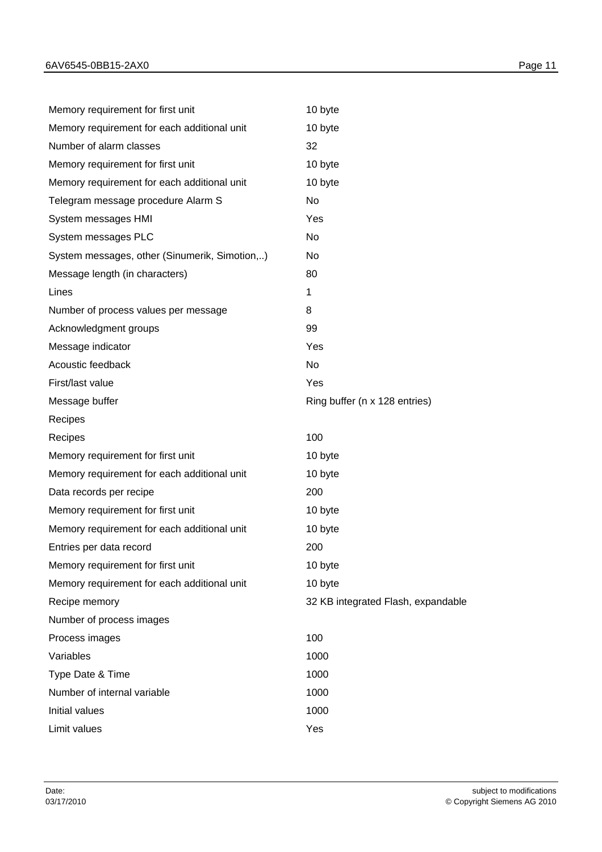| Memory requirement for first unit             | 10 byte                            |
|-----------------------------------------------|------------------------------------|
| Memory requirement for each additional unit   | 10 byte                            |
| Number of alarm classes                       | 32                                 |
| Memory requirement for first unit             | 10 byte                            |
| Memory requirement for each additional unit   | 10 byte                            |
| Telegram message procedure Alarm S            | No                                 |
| System messages HMI                           | Yes                                |
| System messages PLC                           | No                                 |
| System messages, other (Sinumerik, Simotion,) | No                                 |
| Message length (in characters)                | 80                                 |
| Lines                                         | 1                                  |
| Number of process values per message          | 8                                  |
| Acknowledgment groups                         | 99                                 |
| Message indicator                             | Yes                                |
| Acoustic feedback                             | No                                 |
| First/last value                              | Yes                                |
| Message buffer                                | Ring buffer (n x 128 entries)      |
| Recipes                                       |                                    |
| Recipes                                       | 100                                |
| Memory requirement for first unit             | 10 byte                            |
| Memory requirement for each additional unit   | 10 byte                            |
| Data records per recipe                       | 200                                |
| Memory requirement for first unit             | 10 byte                            |
| Memory requirement for each additional unit   | 10 byte                            |
| Entries per data record                       | 200                                |
| Memory requirement for first unit             | 10 byte                            |
| Memory requirement for each additional unit   | 10 byte                            |
| Recipe memory                                 | 32 KB integrated Flash, expandable |
| Number of process images                      |                                    |
| Process images                                | 100                                |
| Variables                                     | 1000                               |
| Type Date & Time                              | 1000                               |
| Number of internal variable                   | 1000                               |
| Initial values                                | 1000                               |
| Limit values                                  | Yes                                |
|                                               |                                    |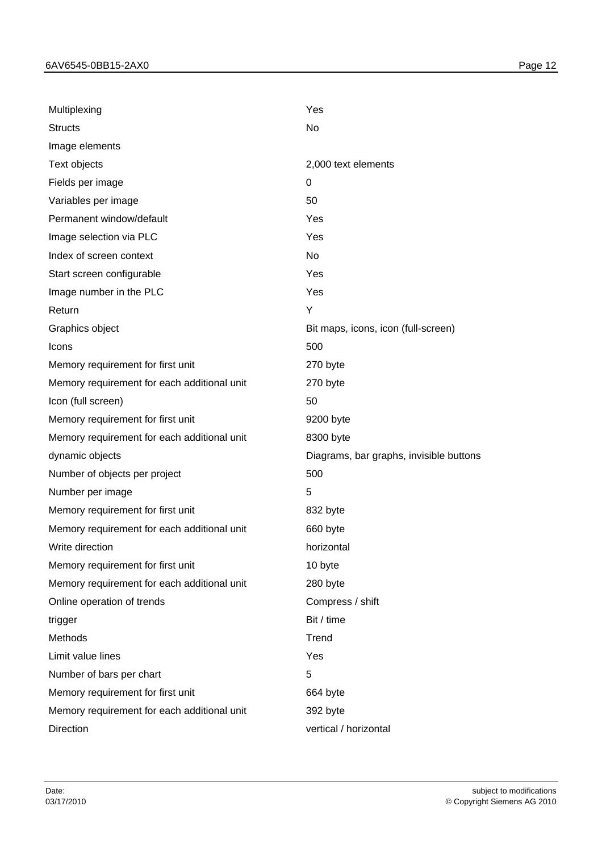| Multiplexing                                | Yes                                     |
|---------------------------------------------|-----------------------------------------|
| <b>Structs</b>                              | No                                      |
| Image elements                              |                                         |
| Text objects                                | 2,000 text elements                     |
| Fields per image                            | $\Omega$                                |
| Variables per image                         | 50                                      |
| Permanent window/default                    | Yes                                     |
| Image selection via PLC                     | Yes                                     |
| Index of screen context                     | No                                      |
| Start screen configurable                   | Yes                                     |
| Image number in the PLC                     | Yes                                     |
| Return                                      | Y                                       |
| Graphics object                             | Bit maps, icons, icon (full-screen)     |
| Icons                                       | 500                                     |
| Memory requirement for first unit           | 270 byte                                |
| Memory requirement for each additional unit | 270 byte                                |
| Icon (full screen)                          | 50                                      |
| Memory requirement for first unit           | 9200 byte                               |
| Memory requirement for each additional unit | 8300 byte                               |
| dynamic objects                             | Diagrams, bar graphs, invisible buttons |
| Number of objects per project               | 500                                     |
| Number per image                            | 5                                       |
| Memory requirement for first unit           | 832 byte                                |
| Memory requirement for each additional unit | 660 byte                                |
| Write direction                             | horizontal                              |
| Memory requirement for first unit           | 10 byte                                 |
| Memory requirement for each additional unit | 280 byte                                |
| Online operation of trends                  | Compress / shift                        |
| trigger                                     | Bit / time                              |
| Methods                                     | Trend                                   |
| Limit value lines                           | Yes                                     |
| Number of bars per chart                    | 5                                       |
| Memory requirement for first unit           | 664 byte                                |
| Memory requirement for each additional unit | 392 byte                                |
| <b>Direction</b>                            | vertical / horizontal                   |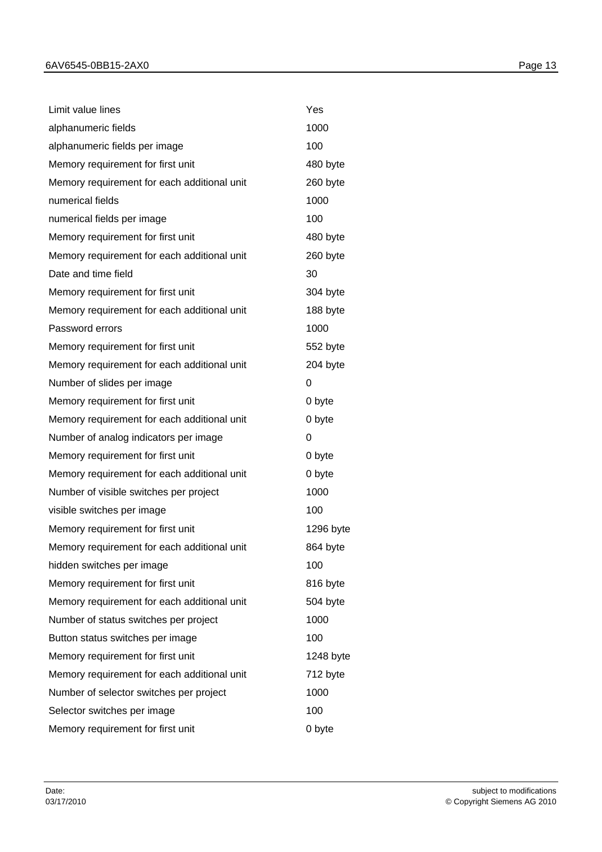| Limit value lines                           | Yes       |
|---------------------------------------------|-----------|
| alphanumeric fields                         | 1000      |
| alphanumeric fields per image               | 100       |
| Memory requirement for first unit           | 480 byte  |
| Memory requirement for each additional unit | 260 byte  |
| numerical fields                            | 1000      |
| numerical fields per image                  | 100       |
| Memory requirement for first unit           | 480 byte  |
| Memory requirement for each additional unit | 260 byte  |
| Date and time field                         | 30        |
| Memory requirement for first unit           | 304 byte  |
| Memory requirement for each additional unit | 188 byte  |
| Password errors                             | 1000      |
| Memory requirement for first unit           | 552 byte  |
| Memory requirement for each additional unit | 204 byte  |
| Number of slides per image                  | 0         |
| Memory requirement for first unit           | 0 byte    |
| Memory requirement for each additional unit | 0 byte    |
| Number of analog indicators per image       | 0         |
| Memory requirement for first unit           | 0 byte    |
| Memory requirement for each additional unit | 0 byte    |
| Number of visible switches per project      | 1000      |
| visible switches per image                  | 100       |
| Memory requirement for first unit           | 1296 byte |
| Memory requirement for each additional unit | 864 byte  |
| hidden switches per image                   | 100       |
| Memory requirement for first unit           | 816 byte  |
| Memory requirement for each additional unit | 504 byte  |
| Number of status switches per project       | 1000      |
| Button status switches per image            | 100       |
| Memory requirement for first unit           | 1248 byte |
| Memory requirement for each additional unit | 712 byte  |
| Number of selector switches per project     | 1000      |
| Selector switches per image                 | 100       |

Memory requirement for first unit **1976** and 10 byte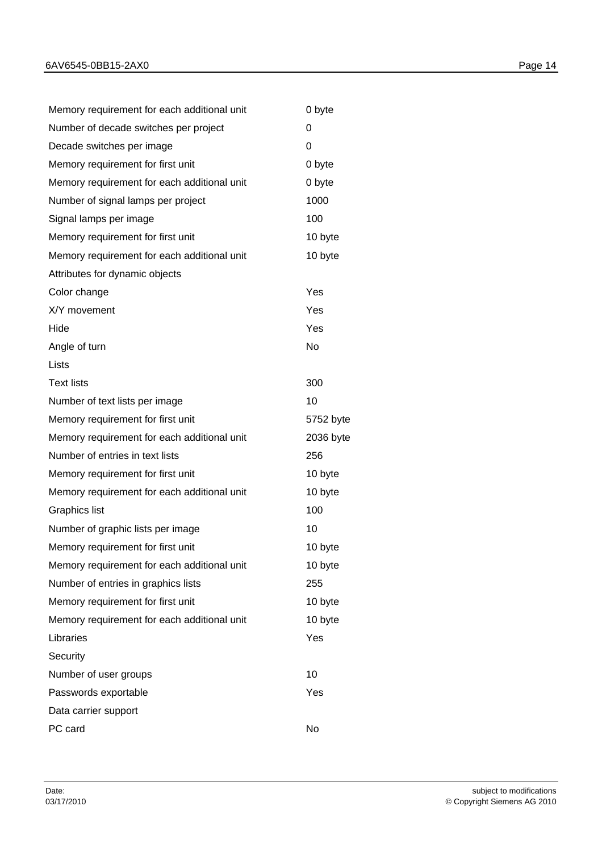| Memory requirement for each additional unit | 0 byte    |
|---------------------------------------------|-----------|
| Number of decade switches per project       | 0         |
| Decade switches per image                   | 0         |
| Memory requirement for first unit           | 0 byte    |
| Memory requirement for each additional unit | 0 byte    |
| Number of signal lamps per project          | 1000      |
| Signal lamps per image                      | 100       |
| Memory requirement for first unit           | 10 byte   |
| Memory requirement for each additional unit | 10 byte   |
| Attributes for dynamic objects              |           |
| Color change                                | Yes       |
| X/Y movement                                | Yes       |
| Hide                                        | Yes       |
| Angle of turn                               | No        |
| Lists                                       |           |
| <b>Text lists</b>                           | 300       |
| Number of text lists per image              | 10        |
| Memory requirement for first unit           | 5752 byte |
| Memory requirement for each additional unit | 2036 byte |
| Number of entries in text lists             | 256       |
| Memory requirement for first unit           | 10 byte   |
| Memory requirement for each additional unit | 10 byte   |
| <b>Graphics list</b>                        | 100       |
| Number of graphic lists per image           | 10        |
| Memory requirement for first unit           | 10 byte   |
| Memory requirement for each additional unit | 10 byte   |
| Number of entries in graphics lists         | 255       |
| Memory requirement for first unit           | 10 byte   |
| Memory requirement for each additional unit | 10 byte   |
| Libraries                                   | Yes       |
| Security                                    |           |
| Number of user groups                       | 10        |
| Passwords exportable                        | Yes       |
| Data carrier support                        |           |
| PC card                                     | No        |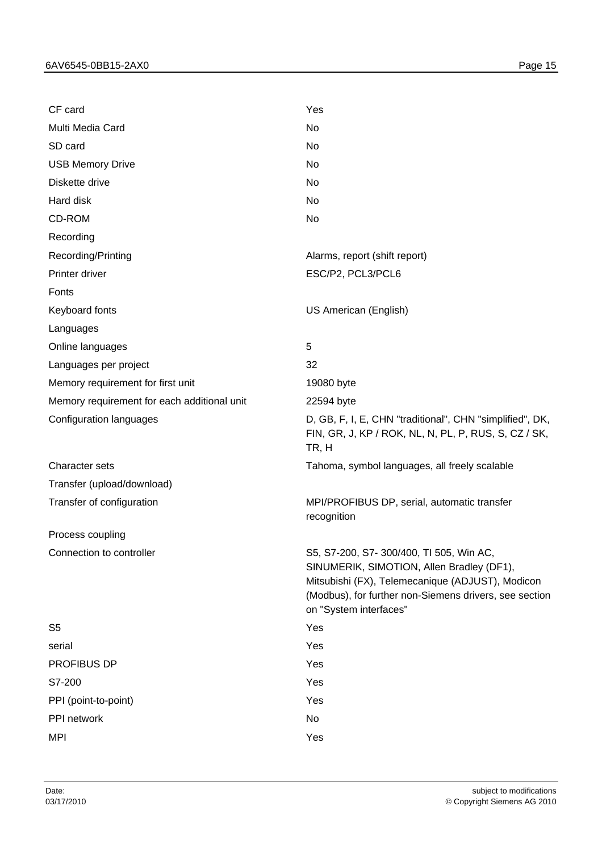| CF card                                     | Yes                                                                                                                                                                                                                         |
|---------------------------------------------|-----------------------------------------------------------------------------------------------------------------------------------------------------------------------------------------------------------------------------|
| Multi Media Card                            | No                                                                                                                                                                                                                          |
| SD card                                     | No                                                                                                                                                                                                                          |
| <b>USB Memory Drive</b>                     | No                                                                                                                                                                                                                          |
| Diskette drive                              | No                                                                                                                                                                                                                          |
| Hard disk                                   | No                                                                                                                                                                                                                          |
| CD-ROM                                      | No                                                                                                                                                                                                                          |
| Recording                                   |                                                                                                                                                                                                                             |
| Recording/Printing                          | Alarms, report (shift report)                                                                                                                                                                                               |
| Printer driver                              | ESC/P2, PCL3/PCL6                                                                                                                                                                                                           |
| Fonts                                       |                                                                                                                                                                                                                             |
| Keyboard fonts                              | US American (English)                                                                                                                                                                                                       |
| Languages                                   |                                                                                                                                                                                                                             |
| Online languages                            | 5                                                                                                                                                                                                                           |
| Languages per project                       | 32                                                                                                                                                                                                                          |
| Memory requirement for first unit           | 19080 byte                                                                                                                                                                                                                  |
| Memory requirement for each additional unit | 22594 byte                                                                                                                                                                                                                  |
| Configuration languages                     | D, GB, F, I, E, CHN "traditional", CHN "simplified", DK,<br>FIN, GR, J, KP / ROK, NL, N, PL, P, RUS, S, CZ / SK,<br>TR, H                                                                                                   |
| Character sets                              | Tahoma, symbol languages, all freely scalable                                                                                                                                                                               |
| Transfer (upload/download)                  |                                                                                                                                                                                                                             |
| Transfer of configuration                   | MPI/PROFIBUS DP, serial, automatic transfer<br>recognition                                                                                                                                                                  |
| Process coupling                            |                                                                                                                                                                                                                             |
| Connection to controller                    | S5, S7-200, S7-300/400, TI 505, Win AC<br>SINUMERIK, SIMOTION, Allen Bradley (DF1),<br>Mitsubishi (FX), Telemecanique (ADJUST), Modicon<br>(Modbus), for further non-Siemens drivers, see section<br>on "System interfaces" |
| S <sub>5</sub>                              | Yes                                                                                                                                                                                                                         |
| serial                                      | Yes                                                                                                                                                                                                                         |
| PROFIBUS DP                                 | Yes                                                                                                                                                                                                                         |
| S7-200                                      | Yes                                                                                                                                                                                                                         |
| PPI (point-to-point)                        | Yes                                                                                                                                                                                                                         |
| PPI network                                 | No                                                                                                                                                                                                                          |
| <b>MPI</b>                                  | Yes                                                                                                                                                                                                                         |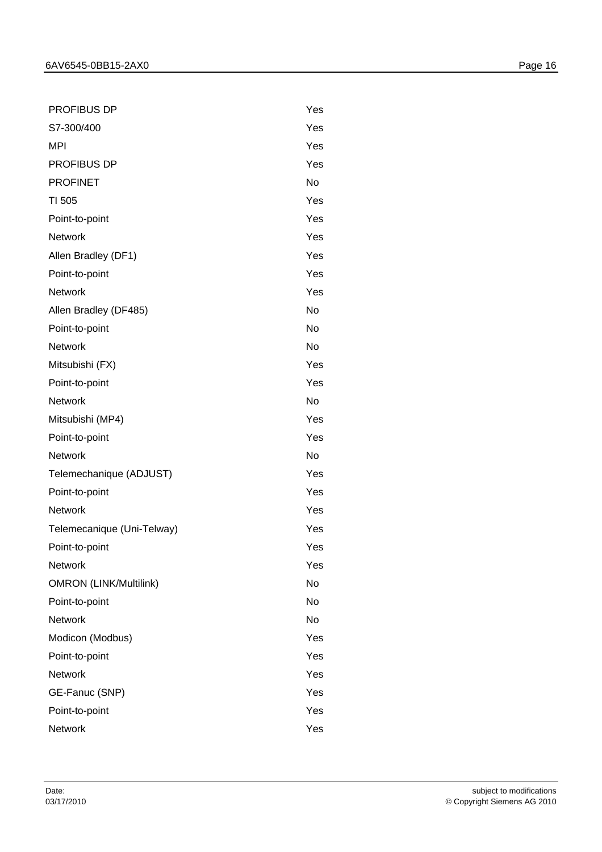PROFIBUS DP Yes

Network **Network** Yes Telemecanique (Uni-Telway) Yes Point-to-point **Yes** Network **Network** Yes OMRON (LINK/Multilink) No Point-to-point No Network No. 2006. The North State of the North State of the North State of the North State of the North State o Modicon (Modbus) Yes Point-to-point Yes Network **Network** Yes GE-Fanuc (SNP) Yes Point-to-point Yes Network **Network** Yes

| S7-300/400              | Yes |  |
|-------------------------|-----|--|
| <b>MPI</b>              | Yes |  |
| PROFIBUS DP             | Yes |  |
| <b>PROFINET</b>         | No  |  |
| TI 505                  | Yes |  |
| Point-to-point          | Yes |  |
| <b>Network</b>          | Yes |  |
| Allen Bradley (DF1)     | Yes |  |
| Point-to-point          | Yes |  |
| <b>Network</b>          | Yes |  |
| Allen Bradley (DF485)   | No  |  |
| Point-to-point          | No  |  |
| <b>Network</b>          | No  |  |
| Mitsubishi (FX)         | Yes |  |
| Point-to-point          | Yes |  |
| <b>Network</b>          | No  |  |
| Mitsubishi (MP4)        | Yes |  |
| Point-to-point          | Yes |  |
| Network                 | No  |  |
| Telemechanique (ADJUST) | Yes |  |
| Point-to-point          | Yes |  |